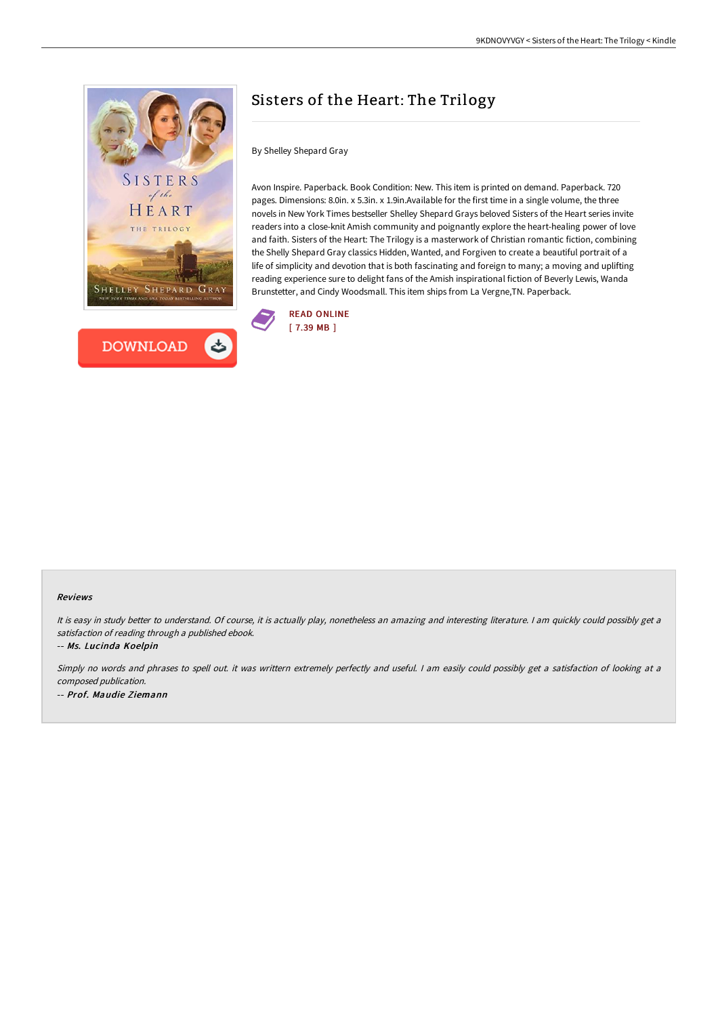



## Sisters of the Heart: The Trilogy

By Shelley Shepard Gray

Avon Inspire. Paperback. Book Condition: New. This item is printed on demand. Paperback. 720 pages. Dimensions: 8.0in. x 5.3in. x 1.9in.Available for the first time in a single volume, the three novels in New York Times bestseller Shelley Shepard Grays beloved Sisters of the Heart series invite readers into a close-knit Amish community and poignantly explore the heart-healing power of love and faith. Sisters of the Heart: The Trilogy is a masterwork of Christian romantic fiction, combining the Shelly Shepard Gray classics Hidden, Wanted, and Forgiven to create a beautiful portrait of a life of simplicity and devotion that is both fascinating and foreign to many; a moving and uplifting reading experience sure to delight fans of the Amish inspirational fiction of Beverly Lewis, Wanda Brunstetter, and Cindy Woodsmall. This item ships from La Vergne,TN. Paperback.



## Reviews

It is easy in study better to understand. Of course, it is actually play, nonetheless an amazing and interesting literature. I am quickly could possibly get a satisfaction of reading through <sup>a</sup> published ebook.

-- Ms. Lucinda Koelpin

Simply no words and phrases to spell out. it was writtern extremely perfectly and useful. <sup>I</sup> am easily could possibly get <sup>a</sup> satisfaction of looking at <sup>a</sup> composed publication. -- Prof. Maudie Ziemann